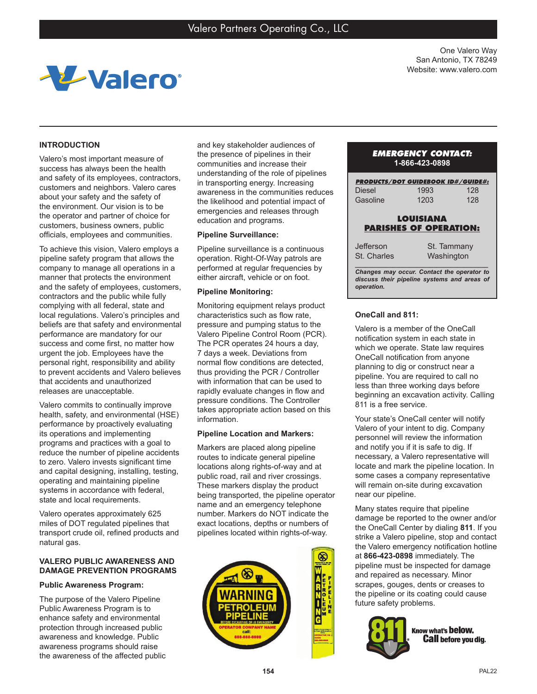

One Valero Way San Antonio, TX 78249 Website: www.valero.com

# **INTRODUCTION**

Valero's most important measure of success has always been the health and safety of its employees, contractors, customers and neighbors. Valero cares about your safety and the safety of the environment. Our vision is to be the operator and partner of choice for customers, business owners, public officials, employees and communities.

To achieve this vision, Valero employs a pipeline safety program that allows the company to manage all operations in a manner that protects the environment and the safety of employees, customers, contractors and the public while fully complying with all federal, state and local regulations. Valero's principles and beliefs are that safety and environmental performance are mandatory for our success and come first, no matter how urgent the job. Employees have the personal right, responsibility and ability to prevent accidents and Valero believes that accidents and unauthorized releases are unacceptable.

Valero commits to continually improve health, safety, and environmental (HSE) performance by proactively evaluating its operations and implementing programs and practices with a goal to reduce the number of pipeline accidents to zero. Valero invests significant time and capital designing, installing, testing, operating and maintaining pipeline systems in accordance with federal, state and local requirements.

Valero operates approximately 625 miles of DOT regulated pipelines that transport crude oil, refined products and natural gas.

# **VALERO PUBLIC AWARENESS AND DAMAGE PREVENTION PROGRAMS**

## **Public Awareness Program:**

The purpose of the Valero Pipeline Public Awareness Program is to enhance safety and environmental protection through increased public awareness and knowledge. Public awareness programs should raise the awareness of the affected public and key stakeholder audiences of the presence of pipelines in their communities and increase their understanding of the role of pipelines in transporting energy. Increasing awareness in the communities reduces the likelihood and potential impact of emergencies and releases through education and programs.

## **Pipeline Surveillance:**

Pipeline surveillance is a continuous operation. Right-Of-Way patrols are performed at regular frequencies by either aircraft, vehicle or on foot.

## **Pipeline Monitoring:**

Monitoring equipment relays product characteristics such as flow rate, pressure and pumping status to the Valero Pipeline Control Room (PCR). The PCR operates 24 hours a day, 7 days a week. Deviations from normal flow conditions are detected, thus providing the PCR / Controller with information that can be used to rapidly evaluate changes in flow and pressure conditions. The Controller takes appropriate action based on this information.

## **Pipeline Location and Markers:**

Markers are placed along pipeline routes to indicate general pipeline locations along rights-of-way and at public road, rail and river crossings. These markers display the product being transported, the pipeline operator name and an emergency telephone number. Markers do NOT indicate the exact locations, depths or numbers of pipelines located within rights-of-way.



# *EMERGENCY CONTACT:* **1-866-423-0898**

| <b>PRODUCTS/DOT GUIDEBOOK ID#/GUIDE#:</b>                                                 |                                                   |     |
|-------------------------------------------------------------------------------------------|---------------------------------------------------|-----|
| Diesel                                                                                    | 1993                                              | 128 |
| Gasoline                                                                                  | 1203                                              | 128 |
|                                                                                           | <b>LOUISIANA</b><br><b>PARISHES OF OPERATION:</b> |     |
| Jefferson                                                                                 | St. Tammany                                       |     |
| St. Charles                                                                               | Washington                                        |     |
| Changes may occur. Contact the operator to<br>discuss their pipeline systems and areas of |                                                   |     |

*operation.*

# **OneCall and 811:**

Valero is a member of the OneCall notification system in each state in which we operate. State law requires OneCall notification from anyone planning to dig or construct near a pipeline. You are required to call no less than three working days before beginning an excavation activity. Calling 811 is a free service.

Your state's OneCall center will notify Valero of your intent to dig. Company personnel will review the information and notify you if it is safe to dig. If necessary, a Valero representative will locate and mark the pipeline location. In some cases a company representative will remain on-site during excavation near our pipeline.

Many states require that pipeline damage be reported to the owner and/or the OneCall Center by dialing **811**. If you strike a Valero pipeline, stop and contact the Valero emergency notification hotline at **866-423-0898** immediately. The pipeline must be inspected for damage and repaired as necessary. Minor scrapes, gouges, dents or creases to the pipeline or its coating could cause future safety problems.



Know what's below. **Call** before you dig.